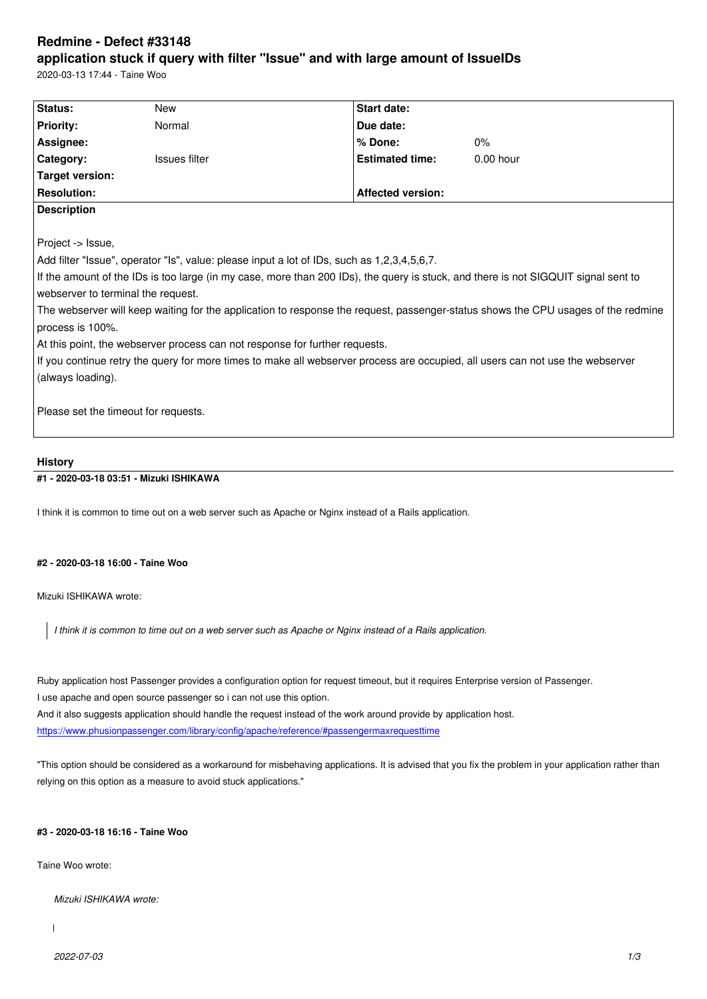#### **application stuck if query with filter "Issue" and with large amount of IssueIDs**

2020-03-13 17:44 - Taine Woo

| Status:                                                                                                                            | <b>New</b>    |                          | <b>Start date:</b>     |             |
|------------------------------------------------------------------------------------------------------------------------------------|---------------|--------------------------|------------------------|-------------|
| <b>Priority:</b>                                                                                                                   | Normal        |                          | Due date:              |             |
| Assignee:                                                                                                                          |               |                          | % Done:                | 0%          |
| Category:                                                                                                                          | Issues filter |                          | <b>Estimated time:</b> | $0.00$ hour |
| <b>Target version:</b>                                                                                                             |               |                          |                        |             |
| <b>Resolution:</b>                                                                                                                 |               | <b>Affected version:</b> |                        |             |
| <b>Description</b>                                                                                                                 |               |                          |                        |             |
|                                                                                                                                    |               |                          |                        |             |
| Project -> Issue,                                                                                                                  |               |                          |                        |             |
| Add filter "Issue", operator "Is", value: please input a lot of IDs, such as 1,2,3,4,5,6,7.                                        |               |                          |                        |             |
| If the amount of the IDs is too large (in my case, more than 200 IDs), the query is stuck, and there is not SIGQUIT signal sent to |               |                          |                        |             |
| webserver to terminal the request.                                                                                                 |               |                          |                        |             |
| The webserver will keep waiting for the application to response the request, passenger-status shows the CPU usages of the redmine  |               |                          |                        |             |
| process is 100%.                                                                                                                   |               |                          |                        |             |
| At this point, the webserver process can not response for further requests.                                                        |               |                          |                        |             |
| If you continue retry the query for more times to make all webserver process are occupied, all users can not use the webserver     |               |                          |                        |             |
| (always loading).                                                                                                                  |               |                          |                        |             |
|                                                                                                                                    |               |                          |                        |             |
| Please set the timeout for requests.                                                                                               |               |                          |                        |             |
|                                                                                                                                    |               |                          |                        |             |
|                                                                                                                                    |               |                          |                        |             |

# **History**

## **#1 - 2020-03-18 03:51 - Mizuki ISHIKAWA**

I think it is common to time out on a web server such as Apache or Nginx instead of a Rails application.

### **#2 - 2020-03-18 16:00 - Taine Woo**

Mizuki ISHIKAWA wrote:

*I think it is common to time out on a web server such as Apache or Nginx instead of a Rails application.*

Ruby application host Passenger provides a configuration option for request timeout, but it requires Enterprise version of Passenger. I use apache and open source passenger so i can not use this option. And it also suggests application should handle the request instead of the work around provide by application host. https://www.phusionpassenger.com/library/config/apache/reference/#passengermaxrequesttime

"This option should be considered as a workaround for misbehaving applications. It is advised that you fix the problem in your application rather than [relying on this option as a measure to avoid stuck applications."](https://www.phusionpassenger.com/library/config/apache/reference/#passengermaxrequesttime)

### **#3 - 2020-03-18 16:16 - Taine Woo**

Taine Woo wrote:

*Mizuki ISHIKAWA wrote:*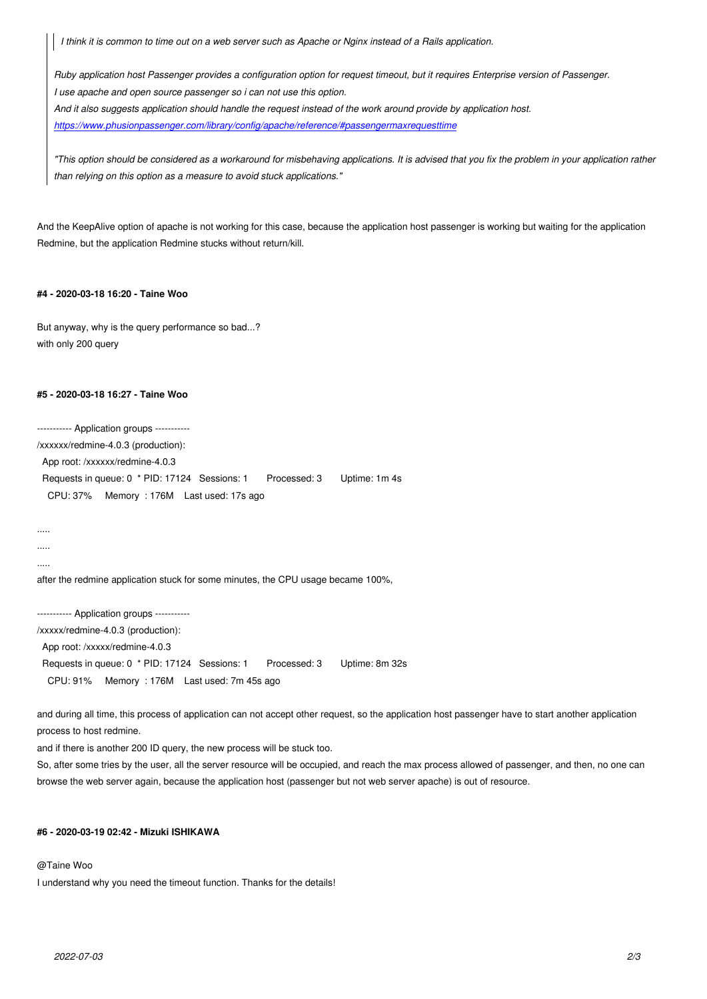*Ruby application host Passenger provides a configuration option for request timeout, but it requires Enterprise version of Passenger. I use apache and open source passenger so i can not use this option. And it also suggests application should handle the request instead of the work around provide by application host. https://www.phusionpassenger.com/library/config/apache/reference/#passengermaxrequesttime*

*"This option should be considered as a workaround for misbehaving applications. It is advised that you fix the problem in your application rather [than relying on this option as a measure to avoid stuck applications."](https://www.phusionpassenger.com/library/config/apache/reference/#passengermaxrequesttime)*

And the KeepAlive option of apache is not working for this case, because the application host passenger is working but waiting for the application Redmine, but the application Redmine stucks without return/kill.

### **#4 - 2020-03-18 16:20 - Taine Woo**

But anyway, why is the query performance so bad...? with only 200 query

#### **#5 - 2020-03-18 16:27 - Taine Woo**

----------- Application groups ----------- /xxxxxx/redmine-4.0.3 (production): App root: /xxxxxx/redmine-4.0.3 Requests in queue: 0 \* PID: 17124 Sessions: 1 Processed: 3 Uptime: 1m 4s CPU: 37% Memory : 176M Last used: 17s ago

..... .....

.....

after the redmine application stuck for some minutes, the CPU usage became 100%,

----------- Application groups -----------

/xxxxx/redmine-4.0.3 (production):

App root: /xxxxx/redmine-4.0.3

Requests in queue: 0 \* PID: 17124 Sessions: 1 Processed: 3 Uptime: 8m 32s

CPU: 91% Memory : 176M Last used: 7m 45s ago

and during all time, this process of application can not accept other request, so the application host passenger have to start another application process to host redmine.

and if there is another 200 ID query, the new process will be stuck too.

So, after some tries by the user, all the server resource will be occupied, and reach the max process allowed of passenger, and then, no one can browse the web server again, because the application host (passenger but not web server apache) is out of resource.

# **#6 - 2020-03-19 02:42 - Mizuki ISHIKAWA**

### @Taine Woo

I understand why you need the timeout function. Thanks for the details!